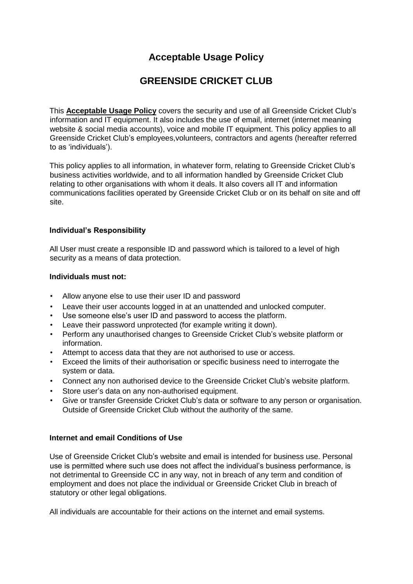# **Acceptable Usage Policy**

# **GREENSIDE CRICKET CLUB**

This **Acceptable Usage Policy** covers the security and use of all Greenside Cricket Club's information and IT equipment. It also includes the use of email, internet (internet meaning website & social media accounts), voice and mobile IT equipment. This policy applies to all Greenside Cricket Club's employees,volunteers, contractors and agents (hereafter referred to as 'individuals').

This policy applies to all information, in whatever form, relating to Greenside Cricket Club's business activities worldwide, and to all information handled by Greenside Cricket Club relating to other organisations with whom it deals. It also covers all IT and information communications facilities operated by Greenside Cricket Club or on its behalf on site and off site.

## **Individual's Responsibility**

All User must create a responsible ID and password which is tailored to a level of high security as a means of data protection.

#### **Individuals must not:**

- Allow anyone else to use their user ID and password
- Leave their user accounts logged in at an unattended and unlocked computer.
- Use someone else's user ID and password to access the platform.
- Leave their password unprotected (for example writing it down).
- Perform any unauthorised changes to Greenside Cricket Club's website platform or information.
- Attempt to access data that they are not authorised to use or access.
- Exceed the limits of their authorisation or specific business need to interrogate the system or data.
- Connect any non authorised device to the Greenside Cricket Club's website platform.
- Store user's data on any non-authorised equipment.
- Give or transfer Greenside Cricket Club's data or software to any person or organisation. Outside of Greenside Cricket Club without the authority of the same.

## **Internet and email Conditions of Use**

Use of Greenside Cricket Club's website and email is intended for business use. Personal use is permitted where such use does not affect the individual's business performance, is not detrimental to Greenside CC in any way, not in breach of any term and condition of employment and does not place the individual or Greenside Cricket Club in breach of statutory or other legal obligations.

All individuals are accountable for their actions on the internet and email systems.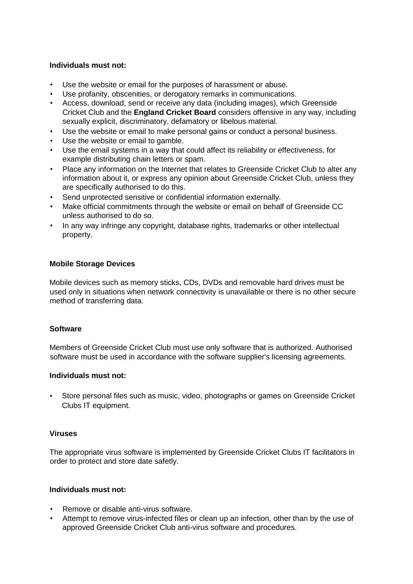#### **Individuals must not:**

- Use the website or email for the purposes of harassment or abuse.
- Use profanity, obscenities, or derogatory remarks in communications.
- Access, download, send or receive any data (including images), which Greenside Cricket Club and the **England Cricket Board** considers offensive in any way, including sexually explicit, discriminatory, defamatory or libelous material.
- Use the website or email to make personal gains or conduct a personal business.
- Use the website or email to gamble.
- Use the email systems in a way that could affect its reliability or effectiveness, for example distributing chain letters or spam.
- Place any information on the Internet that relates to Greenside Cricket Club to alter any information about it, or express any opinion about Greenside Cricket Club, unless they are specifically authorised to do this.
- Send unprotected sensitive or confidential information externally.
- Make official commitments through the website or email on behalf of Greenside CC unless authorised to do so.
- In any way infringe any copyright, database rights, trademarks or other intellectual property.

## **Mobile Storage Devices**

Mobile devices such as memory sticks, CDs, DVDs and removable hard drives must be used only in situations when network connectivity is unavailable or there is no other secure method of transferring data.

#### **Software**

Members of Greenside Cricket Club must use only software that is authorized. Authorised software must be used in accordance with the software supplier's licensing agreements.

#### **Individuals must not:**

• Store personal files such as music, video, photographs or games on Greenside Cricket Clubs IT equipment.

#### **Viruses**

The appropriate virus software is implemented by Greenside Cricket Clubs IT facilitators in order to protect and store date safetly.

### **Individuals must not:**

- Remove or disable anti-virus software.
- Attempt to remove virus-infected files or clean up an infection, other than by the use of approved Greenside Cricket Club anti-virus software and procedures.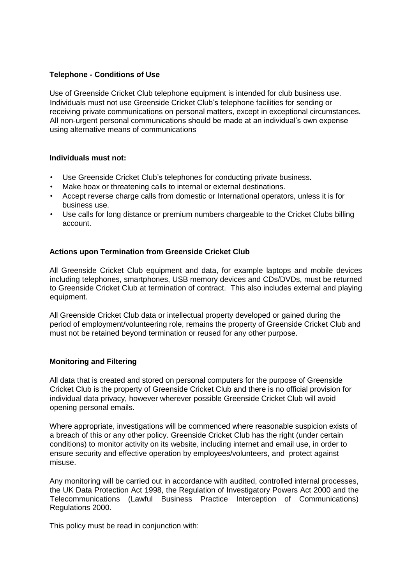### **Telephone - Conditions of Use**

Use of Greenside Cricket Club telephone equipment is intended for club business use. Individuals must not use Greenside Cricket Club's telephone facilities for sending or receiving private communications on personal matters, except in exceptional circumstances. All non-urgent personal communications should be made at an individual's own expense using alternative means of communications

#### **Individuals must not:**

- Use Greenside Cricket Club's telephones for conducting private business.
- Make hoax or threatening calls to internal or external destinations.
- Accept reverse charge calls from domestic or International operators, unless it is for business use.
- Use calls for long distance or premium numbers chargeable to the Cricket Clubs billing account.

## **Actions upon Termination from Greenside Cricket Club**

All Greenside Cricket Club equipment and data, for example laptops and mobile devices including telephones, smartphones, USB memory devices and CDs/DVDs, must be returned to Greenside Cricket Club at termination of contract. This also includes external and playing equipment.

All Greenside Cricket Club data or intellectual property developed or gained during the period of employment/volunteering role, remains the property of Greenside Cricket Club and must not be retained beyond termination or reused for any other purpose.

#### **Monitoring and Filtering**

All data that is created and stored on personal computers for the purpose of Greenside Cricket Club is the property of Greenside Cricket Club and there is no official provision for individual data privacy, however wherever possible Greenside Cricket Club will avoid opening personal emails.

Where appropriate, investigations will be commenced where reasonable suspicion exists of a breach of this or any other policy. Greenside Cricket Club has the right (under certain conditions) to monitor activity on its website, including internet and email use, in order to ensure security and effective operation by employees/volunteers, and protect against misuse.

Any monitoring will be carried out in accordance with audited, controlled internal processes, the UK Data Protection Act 1998, the Regulation of Investigatory Powers Act 2000 and the Telecommunications (Lawful Business Practice Interception of Communications) Regulations 2000.

This policy must be read in conjunction with: